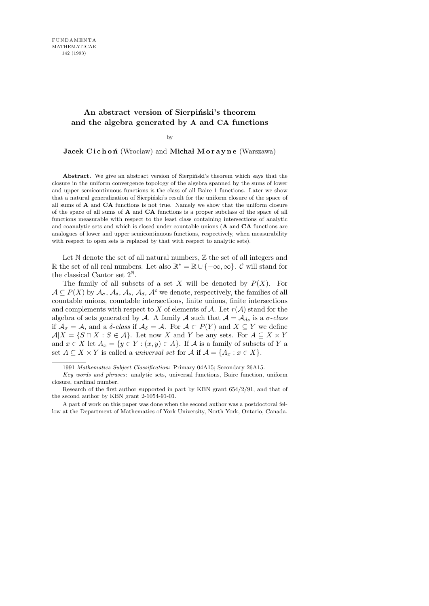## An abstract version of Sierpinski's theorem **and the algebra generated by** A **and** CA **functions**

by

Jacek Cichoń (Wrocław) and Michał Morayne (Warszawa)

**Abstract.** We give an abstract version of Sierpinski's theorem which says that the closure in the uniform convergence topology of the algebra spanned by the sums of lower and upper semicontinuous functions is the class of all Baire 1 functions. Later we show that a natural generalization of Sierpiński's result for the uniform closure of the space of all sums of **A** and **CA** functions is not true. Namely we show that the uniform closure of the space of all sums of **A** and **CA** functions is a proper subclass of the space of all functions measurable with respect to the least class containing intersections of analytic and coanalytic sets and which is closed under countable unions (**A** and **CA** functions are analogues of lower and upper semicontinuous functions, respectively, when measurability with respect to open sets is replaced by that with respect to analytic sets).

Let  $\mathbb N$  denote the set of all natural numbers,  $\mathbb Z$  the set of all integers and R the set of all real numbers. Let also  $\mathbb{R}^* = \mathbb{R} \cup \{-\infty, \infty\}$ . C will stand for the classical Cantor set  $2^{\mathbb{N}}$ .

The family of all subsets of a set X will be denoted by  $P(X)$ . For  $A \subseteq P(X)$  by  $\mathcal{A}_{\sigma}$ ,  $\mathcal{A}_{\delta}$ ,  $\mathcal{A}_{\delta}$ ,  $\mathcal{A}_{d}$ ,  $\mathcal{A}^{c}$  we denote, respectively, the families of all countable unions, countable intersections, finite unions, finite intersections and complements with respect to X of elements of A. Let  $r(A)$  stand for the algebra of sets generated by A. A family A such that  $A = A_{ds}$  is a  $\sigma$ -class if  $\mathcal{A}_{\sigma} = \mathcal{A}$ , and a  $\delta$ -class if  $\mathcal{A}_{\delta} = \mathcal{A}$ . For  $\mathcal{A} \subset P(Y)$  and  $X \subseteq Y$  we define  $A|X = \{S \cap X : S \in \mathcal{A}\}\.$  Let now X and Y be any sets. For  $A \subseteq X \times Y$ and  $x \in X$  let  $A_x = \{y \in Y : (x, y) \in A\}$ . If A is a family of subsets of Y a set  $A \subseteq X \times Y$  is called a *universal set* for  $A$  if  $A = \{A_x : x \in X\}$ .

<sup>1991</sup> *Mathematics Subject Classification*: Primary 04A15; Secondary 26A15.

*Key words and phrases*: analytic sets, universal functions, Baire function, uniform closure, cardinal number.

Research of the first author supported in part by KBN grant 654/2/91, and that of the second author by KBN grant 2-1054-91-01.

A part of work on this paper was done when the second author was a postdoctoral fellow at the Department of Mathematics of York University, North York, Ontario, Canada.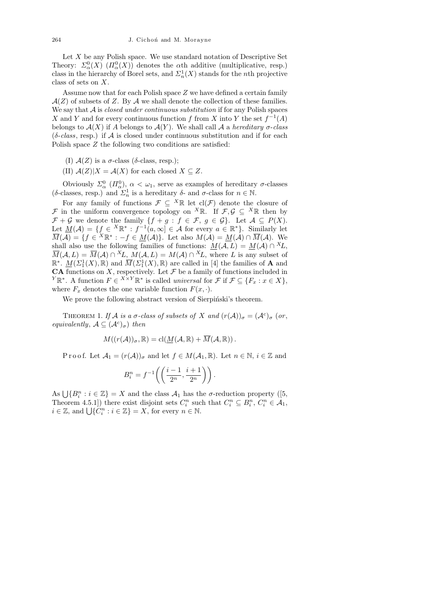Let  $X$  be any Polish space. We use standard notation of Descriptive Set Theory:  $\Sigma^0_\alpha(X)$   $(\Pi^0_\alpha(X))$  denotes the  $\alpha$ th additive (multiplicative, resp.) class in the hierarchy of Borel sets, and  $\mathcal{L}_n^1(X)$  stands for the *n*th projective class of sets on X.

Assume now that for each Polish space Z we have defined a certain family  $\mathcal{A}(Z)$  of subsets of Z. By  $\mathcal A$  we shall denote the collection of these families. We say that  $A$  is *closed under continuous substitution* if for any Polish spaces X and Y and for every continuous function f from X into Y the set  $f^{-1}(A)$ belongs to  $\mathcal{A}(X)$  if A belongs to  $\mathcal{A}(Y)$ . We shall call  $\mathcal A$  a hereditary  $\sigma$ -class  $(\delta\text{-class}, \text{resp.})$  if A is closed under continuous substitution and if for each Polish space Z the following two conditions are satisfied:

(I)  $A(Z)$  is a  $\sigma$ -class ( $\delta$ -class, resp.);

(II)  $A(Z)|X = A(X)$  for each closed  $X \subseteq Z$ .

Obviously  $\Sigma^0_\alpha$  ( $\Pi^0_\alpha$ ),  $\alpha < \omega_1$ , serve as examples of hereditary  $\sigma$ -classes (δ-classes, resp.) and  $\Sigma_n^1$  is a hereditary δ- and  $\sigma$ -class for  $n \in \mathbb{N}$ .

For any family of functions  $\mathcal{F} \subseteq {}^{X} \mathbb{R}$  let  $\text{cl}(\mathcal{F})$  denote the closure of F in the uniform convergence topology on <sup>X</sup>R. If  $\mathcal{F}, \mathcal{G} \subseteq$  <sup>X</sup>R then by  $\mathcal{F} + \mathcal{G}$  we denote the family  $\{f + g : f \in \mathcal{F}, g \in \mathcal{G}\}\$ . Let  $\mathcal{A} \subseteq P(X)$ . Let  $\underline{M}(\mathcal{A}) = \{f \in X \mathbb{R}^* : f^{-1}(a,\infty) \in \mathcal{A} \text{ for every } a \in \mathbb{R}^*\}$ . Similarly let  $\overline{M}(\mathcal{A}) = \{f \in {}^X \mathbb{R}^* : -f \in \underline{M}(\mathcal{A})\}.$  Let also  $M(\mathcal{A}) = \underline{M}(\mathcal{A}) \cap \overline{M}(\mathcal{A})$ . We shall also use the following families of functions:  $\underline{M}(\mathcal{A}, L) = \underline{M}(\mathcal{A}) \cap {}^X L$ ,  $\overline{M}(\mathcal{A}, L) = \overline{M}(\mathcal{A}) \cap {}^X L$ ,  $M(\mathcal{A}, L) = M(\mathcal{A}) \cap {}^X L$ , where L is any subset of  $\mathbb{R}^*$ .  $\underline{M}(\Sigma_1^1(X), \mathbb{R})$  and  $\overline{M}(\Sigma_1^1(X), \mathbb{R})$  are called in [4] the families of **A** and **CA** functions on X, respectively. Let  $\mathcal F$  be a family of functions included in <sup>Y</sup> $\mathbb{R}^*$ . A function  $F \in X \times Y \mathbb{R}^*$  is called universal for  $\mathcal{F}$  if  $\mathcal{F} \subseteq \{F_x : x \in X\}$ , where  $F_x$  denotes the one variable function  $F(x, \cdot)$ .

We prove the following abstract version of Sierpinski's theorem.

THEOREM 1. If A is a  $\sigma$ -class of subsets of X and  $(r(A))_{\sigma} = (A^c)_{\sigma}$  (or, equivalently,  $A \subseteq (A^c)_{\sigma}$  then

$$
M((r(\mathcal{A}))_{\sigma}, \mathbb{R}) = \mathrm{cl}(\underline{M}(\mathcal{A}, \mathbb{R}) + \overline{M}(\mathcal{A}, \mathbb{R})).
$$

P r o o f. Let  $\mathcal{A}_1 = (r(\mathcal{A}))_{\sigma}$  and let  $f \in M(\mathcal{A}_1, \mathbb{R})$ . Let  $n \in \mathbb{N}, i \in \mathbb{Z}$  and

$$
B_i^n = f^{-1}\left(\left(\frac{i-1}{2^n}, \frac{i+1}{2^n}\right)\right).
$$

As  $\bigcup \{B_i^n : i \in \mathbb{Z}\} = X$  and the class  $\mathcal{A}_1$  has the  $\sigma$ -reduction property ([5, Theorem 4.5.1]) there exist disjoint sets  $C_i^n$  such that  $C_i^n \subseteq B_i^n$ ,  $C_i^n \in \mathcal{A}_1$ ,  $i \in \mathbb{Z}$ , and  $\bigcup \{C_i^n : i \in \mathbb{Z}\} = X$ , for every  $n \in \mathbb{N}$ .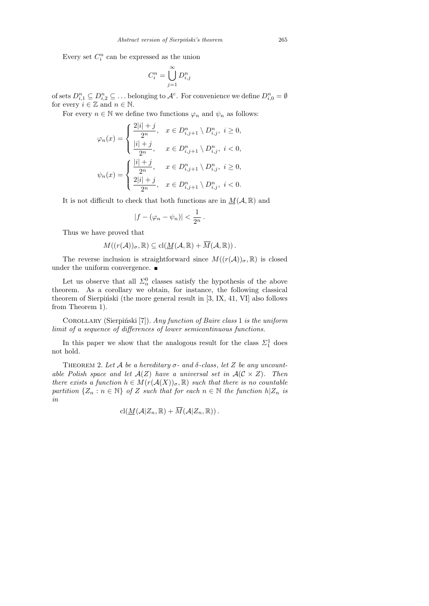Every set  $C_i^n$  can be expressed as the union

$$
C_i^n = \bigcup_{j=1}^\infty D_{i,j}^n
$$

of sets  $D_{i,1}^n \subseteq D_{i,2}^n \subseteq \ldots$  belonging to  $\mathcal{A}^c$ . For convenience we define  $D_{i,0}^n = \emptyset$ for every  $i\in\mathbb{Z}$  and  $n\in\mathbb{N}.$ 

For every  $n \in \mathbb{N}$  we define two functions  $\varphi_n$  and  $\psi_n$  as follows:

$$
\varphi_n(x) = \begin{cases} \frac{2|i|+j}{2^n}, & x \in D_{i,j+1}^n \setminus D_{i,j}^n, \ i \ge 0, \\ \frac{|i|+j}{2^n}, & x \in D_{i,j+1}^n \setminus D_{i,j}^n, \ i < 0, \end{cases}
$$

$$
\psi_n(x) = \begin{cases} \frac{|i|+j}{2^n}, & x \in D_{i,j+1}^n \setminus D_{i,j}^n, \ i \ge 0, \\ \frac{2|i|+j}{2^n}, & x \in D_{i,j+1}^n \setminus D_{i,j}^n, \ i < 0. \end{cases}
$$

It is not difficult to check that both functions are in  $M(A, \mathbb{R})$  and

$$
|f-(\varphi_n-\psi_n)|<\frac{1}{2^n}\,.
$$

Thus we have proved that

$$
M((r(\mathcal{A}))_{\sigma}, \mathbb{R}) \subseteq \mathrm{cl}(\underline{M}(\mathcal{A}, \mathbb{R}) + \overline{M}(\mathcal{A}, \mathbb{R})).
$$

The reverse inclusion is straightforward since  $M((r(\mathcal{A}))_{\sigma}, \mathbb{R})$  is closed under the uniform convergence.  $\blacksquare$ 

Let us observe that all  $\Sigma^0_\alpha$  classes satisfy the hypothesis of the above theorem. As a corollary we obtain, for instance, the following classical theorem of Sierpiński (the more general result in  $[3, IX, 41, VI]$  also follows from Theorem 1).

COROLLARY (Sierpiński [7]). Any function of Baire class 1 is the uniform limit of a sequence of differences of lower semicontinuous functions.

In this paper we show that the analogous result for the class  $\Sigma_1^1$  does not hold.

THEOREM 2. Let A be a hereditary  $\sigma$ - and  $\delta$ -class, let Z be any uncountable Polish space and let  $A(Z)$  have a universal set in  $A(C \times Z)$ . Then there exists a function  $h \in M(r(\mathcal{A}(X))_{\sigma}, \mathbb{R})$  such that there is no countable partition  $\{Z_n : n \in \mathbb{N}\}\$  of Z such that for each  $n \in \mathbb{N}$  the function  $h|Z_n$  is in

$$
\mathrm{cl}(\underline{M}(\mathcal{A}|Z_n,\mathbb{R})+\overline{M}(\mathcal{A}|Z_n,\mathbb{R})).
$$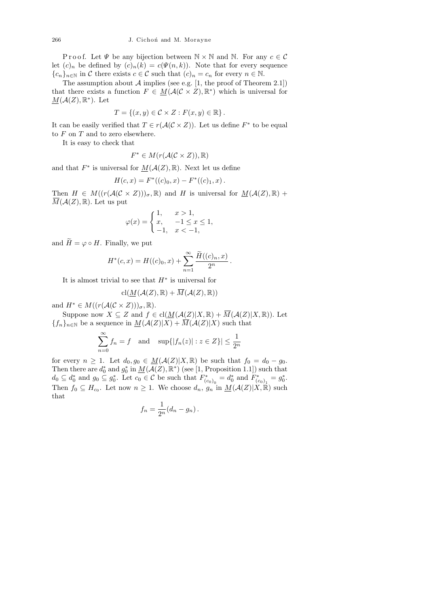P r o o f. Let  $\Psi$  be any bijection between  $\mathbb{N} \times \mathbb{N}$  and  $\mathbb{N}$ . For any  $c \in \mathcal{C}$ let  $(c)_n$  be defined by  $(c)_n(k) = c(\Psi(n, k))$ . Note that for every sequence  ${c_n}_{n\in\mathbb{N}}$  in C there exists  $c \in \mathcal{C}$  such that  $(c)_n = c_n$  for every  $n \in \mathbb{N}$ .

The assumption about  $A$  implies (see e.g. [1, the proof of Theorem 2.1]) that there exists a function  $F \in M(\mathcal{A}(\mathcal{C} \times Z), \mathbb{R}^*)$  which is universal for  $\underline{M}(\mathcal{A}(Z), \mathbb{R}^*)$ . Let

$$
T = \{(x, y) \in \mathcal{C} \times Z : F(x, y) \in \mathbb{R}\}.
$$

It can be easily verified that  $T \in r(\mathcal{A}(\mathcal{C} \times Z))$ . Let us define  $F^*$  to be equal to  $F$  on  $T$  and to zero elsewhere.

It is easy to check that

$$
F^* \in M(r(\mathcal{A}(\mathcal{C} \times Z)), \mathbb{R})
$$

and that  $F^*$  is universal for  $M(\mathcal{A}(Z), \mathbb{R})$ . Next let us define

$$
H(c, x) = F^{*}((c)_0, x) - F^{*}((c)_1, x).
$$

Then  $H \in M((r(\mathcal{A}(\mathcal{C} \times Z)))_{\sigma}, \mathbb{R})$  and H is universal for  $M(\mathcal{A}(Z), \mathbb{R})$  +  $\overline{M}(\mathcal{A}(Z), \mathbb{R})$ . Let us put

$$
\varphi(x) = \begin{cases} 1, & x > 1, \\ x, & -1 \le x \le 1, \\ -1, & x < -1, \end{cases}
$$

and  $\widetilde{H} = \varphi \circ H$ . Finally, we put

$$
H^*(c, x) = H((c)_0, x) + \sum_{n=1}^{\infty} \frac{\widetilde{H}((c)_n, x)}{2^n}
$$

.

It is almost trivial to see that  $H^*$  is universal for

$$
\mathrm{cl}(\underline{M}(\mathcal{A}(Z),\mathbb{R})+\overline{M}(\mathcal{A}(Z),\mathbb{R}))
$$

and  $H^* \in M((r(\mathcal{A}(\mathcal{C} \times Z)))_{\sigma}, \mathbb{R}).$ 

Suppose now  $X \subseteq Z$  and  $f \in \text{cl}(\underline{M}(\mathcal{A}(Z)|X,\mathbb{R}) + \overline{M}(\mathcal{A}(Z)|X,\mathbb{R}))$ . Let  ${f_n}_{n\in\mathbb{N}}$  be a sequence in  $\underline{M}(\mathcal{A}(Z)|X) + \overline{M}(\mathcal{A}(Z)|X)$  such that

$$
\sum_{n=0}^{\infty} f_n = f \quad \text{and} \quad \sup\{|f_n(z)| : z \in Z\}| \le \frac{1}{2^n}
$$

for every  $n \geq 1$ . Let  $d_0, g_0 \in M(\mathcal{A}(Z)|X, \mathbb{R})$  be such that  $f_0 = d_0 - g_0$ . Then there are  $d_0^*$  and  $g_0^*$  in  $\underline{M}(\mathcal{A}(Z), \mathbb{R}^*)$  (see [1, Proposition 1.1]) such that  $d_0 \subseteq d_0^*$  and  $g_0 \subseteq g_0^*$ . Let  $c_0 \in \mathcal{C}$  be such that  $F_{(c_0)_0}^* = d_0^*$  and  $F_{(c_0)_1}^* = g_0^*$ . Then  $f_0 \subseteq H_{c_0}$ . Let now  $n \geq 1$ . We choose  $d_n$ ,  $g_n$  in  $\underline{M}(\mathcal{A}(Z)|\overline{X},\overline{\mathbb{R}})$  such that

$$
f_n = \frac{1}{2^n} (d_n - g_n).
$$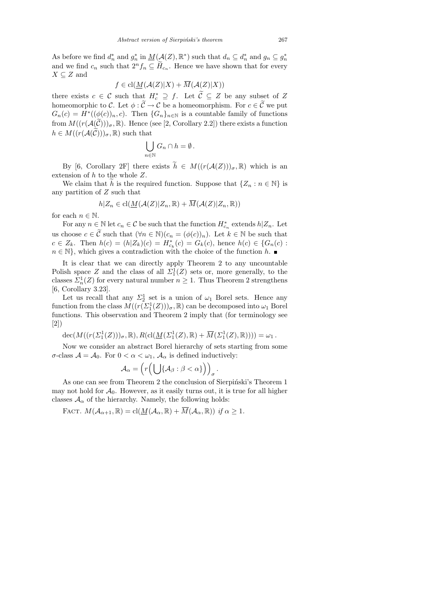As before we find  $d_n^*$  and  $g_n^*$  in  $\underline{M}(\mathcal{A}(Z), \mathbb{R}^*)$  such that  $d_n \subseteq d_n^*$  and  $g_n \subseteq g_n^*$ and we find  $c_n$  such that  $2^n f_n \subseteq \widetilde{H}_{c_n}$ . Hence we have shown that for every  $X \subseteq Z$  and

$$
f \in \text{cl}(\underline{M}(\mathcal{A}(Z)|X) + \overline{M}(\mathcal{A}(Z)|X))
$$

there exists  $c \in \mathcal{C}$  such that  $H_c^* \supseteq f$ . Let  $\mathcal{C} \subseteq Z$  be any subset of Z homeomorphic to C. Let  $\phi : \widetilde{C} \to C$  be a homeomorphism. For  $c \in \widetilde{C}$  we put  $G_n(c) = H^*((\phi(c))_n, c)$ . Then  $\{G_n\}_{n \in \mathbb{N}}$  is a countable family of functions from  $M((r(\mathcal{A}(\mathcal{C})))_{\sigma},\mathbb{R})$ . Hence (see [2, Corollary 2.2]) there exists a function  $h \in M((r(\mathcal{A}(\mathcal{C})))_{\sigma}, \mathbb{R})$  such that

$$
\bigcup_{n\in\mathbb{N}}G_n\cap h=\emptyset.
$$

By [6, Corollary 2F] there exists  $\tilde{h} \in M((r(\mathcal{A}(Z)))_{\sigma}, \mathbb{R})$  which is an extension of h to the whole Z.

We claim that h is the required function. Suppose that  $\{Z_n : n \in \mathbb{N}\}\$ is any partition of Z such that

$$
h|Z_n \in \text{cl}(\underline{M}(\mathcal{A}(Z)|Z_n,\mathbb{R}) + \overline{M}(\mathcal{A}(Z)|Z_n,\mathbb{R}))
$$

for each  $n \in \mathbb{N}$ .

For any  $n \in \mathbb{N}$  let  $c_n \in \mathcal{C}$  be such that the function  $H^*_{c_n}$  extends  $h|Z_n$ . Let us choose  $c \in \tilde{C}$  such that  $(\forall n \in \mathbb{N})(c_n = (\phi(c))_n)$ . Let  $k \in \mathbb{N}$  be such that  $c \in Z_k$ . Then  $h(c) = (h|Z_k)(c) = H_{c_k}^*(c) = G_k(c)$ , hence  $h(c) \in \{G_n(c) :$  $n \in \mathbb{N}$ , which gives a contradiction with the choice of the function h.

It is clear that we can directly apply Theorem 2 to any uncountable Polish space Z and the class of all  $\Sigma_1^1(Z)$  sets or, more generally, to the classes  $\sum_{n=1}^{\infty} Z_n^1(Z)$  for every natural number  $n \geq 1$ . Thus Theorem 2 strengthens [6, Corollary 3.23].

Let us recall that any  $\Sigma_2^1$  set is a union of  $\omega_1$  Borel sets. Hence any function from the class  $M((r(\Sigma_1^1(Z)))_{\sigma}, \mathbb{R})$  can be decomposed into  $\omega_1$  Borel functions. This observation and Theorem 2 imply that (for terminology see [2])

 $\operatorname{dec}(M((r(\Sigma_1^1(Z)))_\sigma,\mathbb{R}),R(\operatorname{cl}(\underline{M}(\Sigma_1^1(Z),\mathbb{R})+\overline{M}(\Sigma_1^1(Z),\mathbb{R}))))=\omega_1.$ 

Now we consider an abstract Borel hierarchy of sets starting from some  $\sigma$ -class  $\mathcal{A} = \mathcal{A}_0$ . For  $0 < \alpha < \omega_1$ ,  $\mathcal{A}_\alpha$  is defined inductively:

$$
\mathcal{A}_{\alpha} = \left( r \left( \bigcup \{ \mathcal{A}_{\beta} : \beta < \alpha \} \right) \right)_{\sigma}
$$

.

As one can see from Theorem 2 the conclusion of Sierpiński's Theorem 1 may not hold for  $A_0$ . However, as it easily turns out, it is true for all higher classes  $A_{\alpha}$  of the hierarchy. Namely, the following holds:

FACT.  $M(\mathcal{A}_{\alpha+1}, \mathbb{R}) = \text{cl}(\underline{M}(\mathcal{A}_{\alpha}, \mathbb{R}) + \overline{M}(\mathcal{A}_{\alpha}, \mathbb{R}))$  if  $\alpha \geq 1$ .